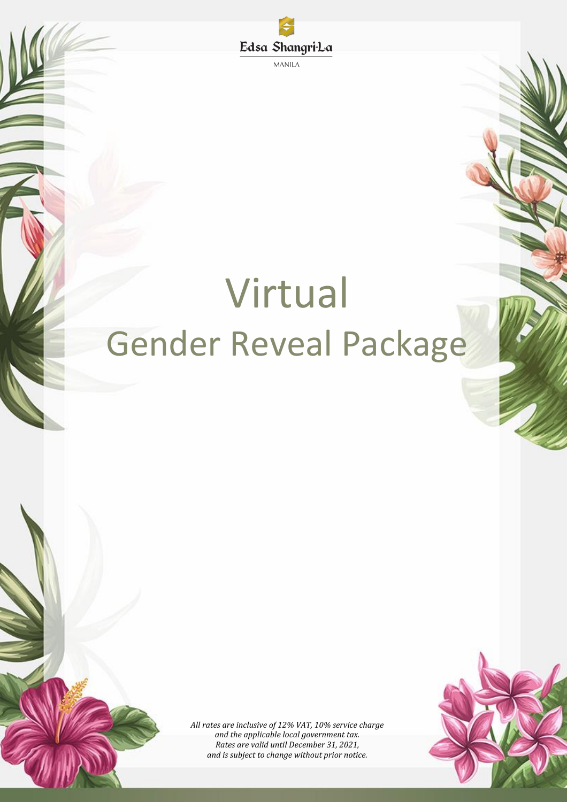Edsa Shangri-La **MANILA** 

# Virtual Gender Reveal Package

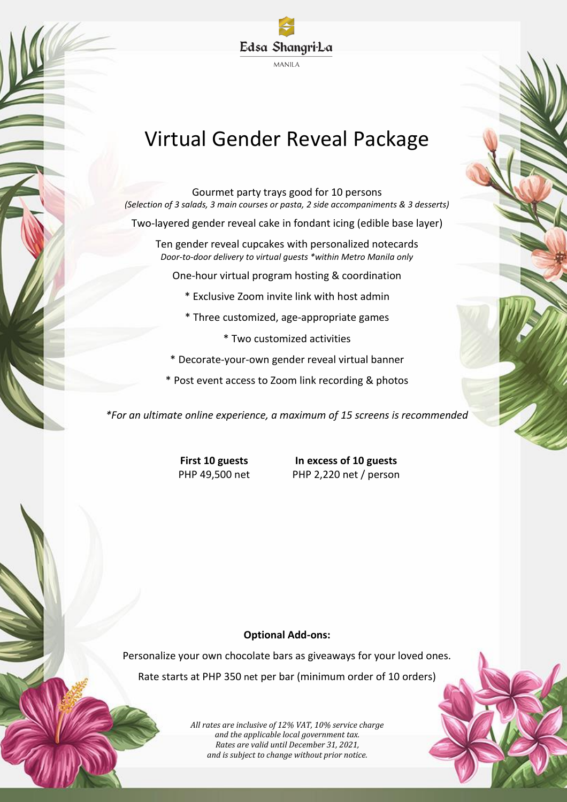

# Virtual Gender Reveal Package

Gourmet party trays good for 10 persons *(Selection of 3 salads, 3 main courses or pasta, 2 side accompaniments & 3 desserts)*

Two-layered gender reveal cake in fondant icing (edible base layer)

Ten gender reveal cupcakes with personalized notecards *Door-to-door delivery to virtual guests \*within Metro Manila only*

One-hour virtual program hosting & coordination

- \* Exclusive Zoom invite link with host admin
- \* Three customized, age-appropriate games
	- \* Two customized activities
- \* Decorate-your-own gender reveal virtual banner
- \* Post event access to Zoom link recording & photos

*\*For an ultimate online experience, a maximum of 15 screens is recommended*

**First 10 guests In excess of 10 guests** PHP 49,500 net PHP 2,220 net / person

#### **Optional Add-ons:**

Personalize your own chocolate bars as giveaways for your loved ones. Rate starts at PHP 350 net per bar (minimum order of 10 orders)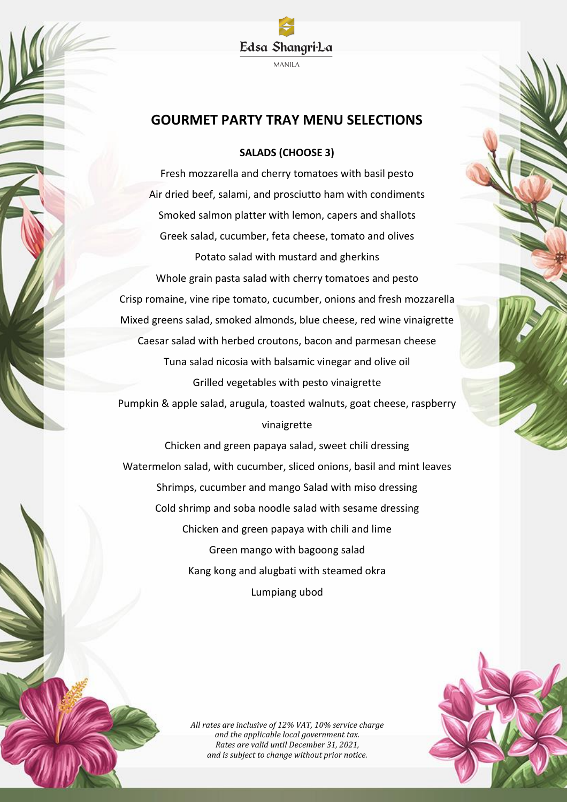### **GOURMET PARTY TRAY MENU SELECTIONS**

#### **SALADS (CHOOSE 3)**

Fresh mozzarella and cherry tomatoes with basil pesto Air dried beef, salami, and prosciutto ham with condiments Smoked salmon platter with lemon, capers and shallots Greek salad, cucumber, feta cheese, tomato and olives Potato salad with mustard and gherkins Whole grain pasta salad with cherry tomatoes and pesto Crisp romaine, vine ripe tomato, cucumber, onions and fresh mozzarella Mixed greens salad, smoked almonds, blue cheese, red wine vinaigrette Caesar salad with herbed croutons, bacon and parmesan cheese Tuna salad nicosia with balsamic vinegar and olive oil Grilled vegetables with pesto vinaigrette Pumpkin & apple salad, arugula, toasted walnuts, goat cheese, raspberry vinaigrette

Chicken and green papaya salad, sweet chili dressing Watermelon salad, with cucumber, sliced onions, basil and mint leaves Shrimps, cucumber and mango Salad with miso dressing Cold shrimp and soba noodle salad with sesame dressing Chicken and green papaya with chili and lime Green mango with bagoong salad Kang kong and alugbati with steamed okra Lumpiang ubod

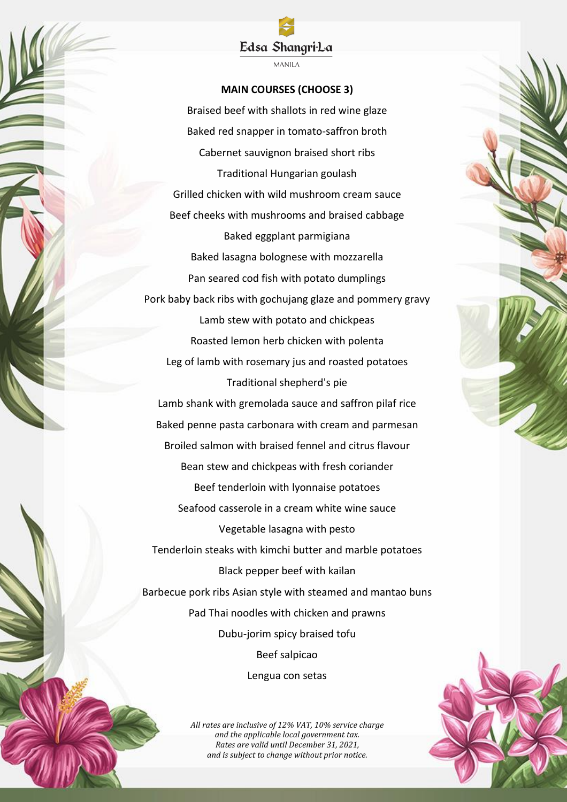## Edsa Shangri-La

**MANILA** 

#### **MAIN COURSES (CHOOSE 3)**

Braised beef with shallots in red wine glaze Baked red snapper in tomato-saffron broth Cabernet sauvignon braised short ribs Traditional Hungarian goulash Grilled chicken with wild mushroom cream sauce Beef cheeks with mushrooms and braised cabbage Baked eggplant parmigiana Baked lasagna bolognese with mozzarella Pan seared cod fish with potato dumplings Pork baby back ribs with gochujang glaze and pommery gravy Lamb stew with potato and chickpeas Roasted lemon herb chicken with polenta Leg of lamb with rosemary jus and roasted potatoes Traditional shepherd's pie Lamb shank with gremolada sauce and saffron pilaf rice Baked penne pasta carbonara with cream and parmesan Broiled salmon with braised fennel and citrus flavour Bean stew and chickpeas with fresh coriander Beef tenderloin with lyonnaise potatoes Seafood casserole in a cream white wine sauce Vegetable lasagna with pesto Tenderloin steaks with kimchi butter and marble potatoes Black pepper beef with kailan Barbecue pork ribs Asian style with steamed and mantao buns Pad Thai noodles with chicken and prawns Dubu-jorim spicy braised tofu Beef salpicao Lengua con setas